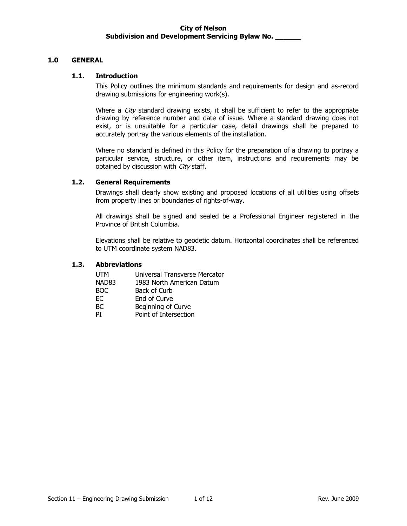## **1.0 GENERAL**

#### **1.1. Introduction**

This Policy outlines the minimum standards and requirements for design and as-record drawing submissions for engineering work(s).

Where a  $City$  standard drawing exists, it shall be sufficient to refer to the appropriate drawing by reference number and date of issue. Where a standard drawing does not exist, or is unsuitable for a particular case, detail drawings shall be prepared to accurately portray the various elements of the installation.

Where no standard is defined in this Policy for the preparation of a drawing to portray a particular service, structure, or other item, instructions and requirements may be obtained by discussion with City staff.

### **1.2. General Requirements**

Drawings shall clearly show existing and proposed locations of all utilities using offsets from property lines or boundaries of rights-of-way.

All drawings shall be signed and sealed be a Professional Engineer registered in the Province of British Columbia.

Elevations shall be relative to geodetic datum. Horizontal coordinates shall be referenced to UTM coordinate system NAD83.

#### **1.3. Abbreviations**

| <b>UTM</b>        | Universal Transverse Mercator |
|-------------------|-------------------------------|
| NAD <sub>83</sub> | 1983 North American Datum     |
| BOC.              | Back of Curb                  |
| EC.               | End of Curve                  |
| BC.               | Beginning of Curve            |
| РT                | Point of Intersection         |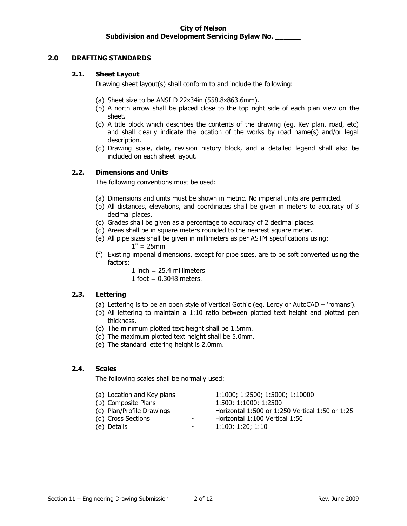# **2.0 DRAFTING STANDARDS**

#### **2.1. Sheet Layout**

Drawing sheet layout(s) shall conform to and include the following:

- (a) Sheet size to be ANSI D 22x34in (558.8x863.6mm).
- (b) A north arrow shall be placed close to the top right side of each plan view on the sheet.
- (c) A title block which describes the contents of the drawing (eg. Key plan, road, etc) and shall clearly indicate the location of the works by road name(s) and/or legal description.
- (d) Drawing scale, date, revision history block, and a detailed legend shall also be included on each sheet layout.

#### **2.2. Dimensions and Units**

The following conventions must be used:

- (a) Dimensions and units must be shown in metric. No imperial units are permitted.
- (b) All distances, elevations, and coordinates shall be given in meters to accuracy of 3 decimal places.
- (c) Grades shall be given as a percentage to accuracy of 2 decimal places.
- (d) Areas shall be in square meters rounded to the nearest square meter.
- (e) All pipe sizes shall be given in millimeters as per ASTM specifications using:  $1" = 25mm$
- (f) Existing imperial dimensions, except for pipe sizes, are to be soft converted using the factors:
	- 1 inch =  $25.4$  millimeters
	- 1 foot =  $0.3048$  meters.

# **2.3. Lettering**

- (a) Lettering is to be an open style of Vertical Gothic (eg. Leroy or AutoCAD 'romans').
- (b) All lettering to maintain a 1:10 ratio between plotted text height and plotted pen thickness.
- (c) The minimum plotted text height shall be 1.5mm.
- (d) The maximum plotted text height shall be 5.0mm.
- (e) The standard lettering height is 2.0mm.

#### **2.4. Scales**

The following scales shall be normally used:

- (a) Location and Key plans 1:1000; 1:2500; 1:5000; 1:10000
- (b) Composite Plans 1:500; 1:1000; 1:2500
- (c) Plan/Profile Drawings  $\qquad -$  Horizontal 1:500 or 1:250 Vertical 1:50 or 1:25
- 
- (d) Cross Sections Horizontal 1:100 Vertical 1:50
- 
- (e) Details 1:100; 1:20; 1:10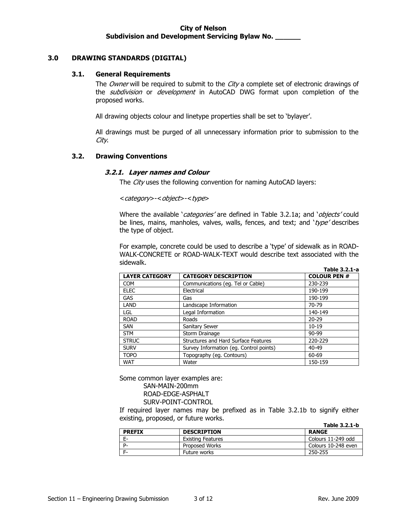# **3.0 DRAWING STANDARDS (DIGITAL)**

#### **3.1. General Requirements**

The Owner will be required to submit to the City a complete set of electronic drawings of the *subdivision* or *development* in AutoCAD DWG format upon completion of the proposed works.

All drawing objects colour and linetype properties shall be set to 'bylayer'.

All drawings must be purged of all unnecessary information prior to submission to the City.

#### **3.2. Drawing Conventions**

#### **3.2.1. Layer names and Colour**

The City uses the following convention for naming AutoCAD layers:

<category>-<object>-<type>

Where the available 'categories' are defined in Table 3.2.1a; and 'objects' could be lines, mains, manholes, valves, walls, fences, and text; and ' $type'$  describes the type of object.

For example, concrete could be used to describe a 'type' of sidewalk as in ROAD-WALK-CONCRETE or ROAD-WALK-TEXT would describe text associated with the sidewalk. **Table 3.2.1-a**

|                       |                                         | 1401 - 3.2.1-d     |
|-----------------------|-----------------------------------------|--------------------|
| <b>LAYER CATEGORY</b> | <b>CATEGORY DESCRIPTION</b>             | <b>COLOUR PEN#</b> |
| <b>COM</b>            | Communications (eq. Tel or Cable)       | 230-239            |
| <b>ELEC</b>           | Electrical                              | 190-199            |
| <b>GAS</b>            | Gas                                     | 190-199            |
| LAND                  | Landscape Information                   | 70-79              |
| LGL                   | Legal Information                       | 140-149            |
| <b>ROAD</b>           | Roads                                   | $20 - 29$          |
| <b>SAN</b>            | Sanitary Sewer                          | $10-19$            |
| <b>STM</b>            | Storm Drainage                          | $90 - 99$          |
| <b>STRUC</b>          | Structures and Hard Surface Features    | 220-229            |
| <b>SURV</b>           | Survey Information (eg. Control points) | 40-49              |
| <b>TOPO</b>           | Topography (eg. Contours)               | 60-69              |
| <b>WAT</b>            | Water                                   | 150-159            |

Some common layer examples are: SAN-MAIN-200mm ROAD-EDGE-ASPHALT SURV-POINT-CONTROL

If required layer names may be prefixed as in Table 3.2.1b to signify either existing, proposed, or future works. **Table 3.2.1-b**

|               |                    | $190C$ J.Z.I <sup>-</sup> D |
|---------------|--------------------|-----------------------------|
| <b>PREFIX</b> | <b>DESCRIPTION</b> | <b>RANGE</b>                |
| Е-            | Existing Features  | Colours 11-249 odd          |
| D.            | Proposed Works     | Colours 10-248 even         |
|               | Future works       | 250-255                     |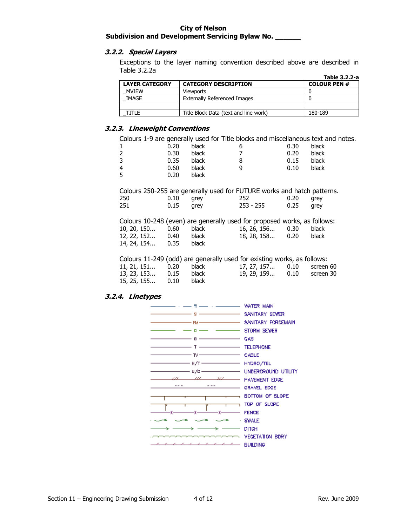# **3.2.2. Special Layers**

Exceptions to the layer naming convention described above are described in Table 3.2.2a **Table 3.2.2-a**

|                       |                                       | Table 3.2.2-a       |
|-----------------------|---------------------------------------|---------------------|
| <b>LAYER CATEGORY</b> | <b>CATEGORY DESCRIPTION</b>           | <b>COLOUR PEN #</b> |
| <b>MVIEW</b>          | Viewports                             |                     |
| IMAGE                 | Externally Referenced Images          |                     |
|                       |                                       |                     |
| TITI F                | Title Block Data (text and line work) | 180-189             |

## **3.2.3. Lineweight Conventions**

Colours 1-9 are generally used for Title blocks and miscellaneous text and notes.

| $\mathbf{1}$ | 0.20 | black | 6 | 0.30 | black |
|--------------|------|-------|---|------|-------|
| 2            | 0.30 | black |   | 0.20 | black |
| 3            | 0.35 | black | 8 | 0.15 | black |
| 4            | 0.60 | black | q | 0.10 | black |
| 5            | 0.20 | black |   |      |       |
|              |      |       |   |      |       |

|     |      |      | Colours 250-255 are generally used for FUTURE works and hatch patterns. |      |      |
|-----|------|------|-------------------------------------------------------------------------|------|------|
| 250 | 0.10 | arev | 252                                                                     | 0.20 | arev |
| 251 | 0.15 | arev | $253 - 255$                                                             | 0.25 | arev |
|     |      |      |                                                                         |      |      |

|                    |      |              | Colours 10-248 (even) are generally used for proposed works, as follows: |      |              |
|--------------------|------|--------------|--------------------------------------------------------------------------|------|--------------|
| $10, 20, 150$ 0.60 |      | black        | 16, 26, 156 0.30                                                         |      | <b>black</b> |
| 12, 22, 152        | 0.40 | black        | 18, 28, 158                                                              | 0.20 | <b>black</b> |
| 14, 24, 154        | 0.35 | <b>black</b> |                                                                          |      |              |

Colours 11-249 (odd) are generally used for existing works, as follows:

| 11, 21, 151 0.20 black |  | 17, 27, 157 0.10 screen 60 |  |
|------------------------|--|----------------------------|--|
| 13, 23, 153 0.15 black |  | 19, 29, 159 0.10 screen 30 |  |
| 15, 25, 155 0.10 black |  |                            |  |

# **3.2.4. Linetypes**

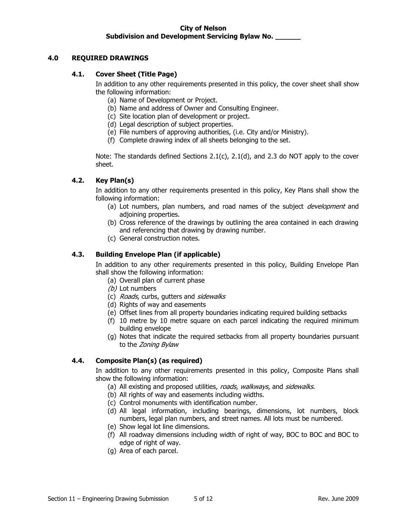# **4.0 REQUIRED DRAWINGS**

## **4.1. Cover Sheet (Title Page)**

In addition to any other requirements presented in this policy, the cover sheet shall show the following information:

- (a) Name of Development or Project.
- (b) Name and address of Owner and Consulting Engineer.
- (c) Site location plan of development or project.
- (d) Legal description of subject properties.
- (e) File numbers of approving authorities, (i.e. City and/or Ministry).
- (f) Complete drawing index of all sheets belonging to the set.

Note: The standards defined Sections 2.1(c), 2.1(d), and 2.3 do NOT apply to the cover sheet.

# **4.2. Key Plan(s)**

In addition to any other requirements presented in this policy, Key Plans shall show the following information:

- (a) Lot numbers, plan numbers, and road names of the subject *development* and adjoining properties.
- (b) Cross reference of the drawings by outlining the area contained in each drawing and referencing that drawing by drawing number.
- (c) General construction notes.

# **4.3. Building Envelope Plan (if applicable)**

In addition to any other requirements presented in this policy, Building Envelope Plan shall show the following information:

- (a) Overall plan of current phase
- (b) Lot numbers
- (c) Roads, curbs, gutters and sidewalks
- (d) Rights of way and easements
- (e) Offset lines from all property boundaries indicating required building setbacks
- (f) 10 metre by 10 metre square on each parcel indicating the required minimum building envelope
- (g) Notes that indicate the required setbacks from all property boundaries pursuant to the Zoning Bylaw

# **4.4. Composite Plan(s) (as required)**

In addition to any other requirements presented in this policy, Composite Plans shall show the following information:

- (a) All existing and proposed utilities, roads, walkways, and sidewalks.
- (b) All rights of way and easements including widths.
- (c) Control monuments with identification number.
- (d) All legal information, including bearings, dimensions, lot numbers, block numbers, legal plan numbers, and street names. All lots must be numbered.
- (e) Show legal lot line dimensions.
- (f) All roadway dimensions including width of right of way, BOC to BOC and BOC to edge of right of way.
- (g) Area of each parcel.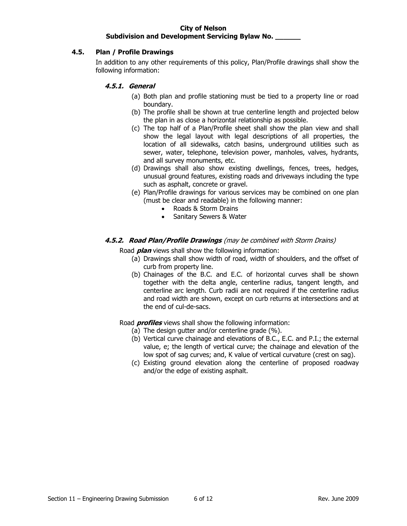# **4.5. Plan / Profile Drawings**

In addition to any other requirements of this policy, Plan/Profile drawings shall show the following information:

# **4.5.1. General**

- (a) Both plan and profile stationing must be tied to a property line or road boundary.
- (b) The profile shall be shown at true centerline length and projected below the plan in as close a horizontal relationship as possible.
- (c) The top half of a Plan/Profile sheet shall show the plan view and shall show the legal layout with legal descriptions of all properties, the location of all sidewalks, catch basins, underground utilities such as sewer, water, telephone, television power, manholes, valves, hydrants, and all survey monuments, etc.
- (d) Drawings shall also show existing dwellings, fences, trees, hedges, unusual ground features, existing roads and driveways including the type such as asphalt, concrete or gravel.
- (e) Plan/Profile drawings for various services may be combined on one plan (must be clear and readable) in the following manner:
	- Roads & Storm Drains
	- Sanitary Sewers & Water

# **4.5.2. Road Plan/Profile Drawings** (may be combined with Storm Drains)

Road **plan** views shall show the following information:

- (a) Drawings shall show width of road, width of shoulders, and the offset of curb from property line.
- (b) Chainages of the B.C. and E.C. of horizontal curves shall be shown together with the delta angle, centerline radius, tangent length, and centerline arc length. Curb radii are not required if the centerline radius and road width are shown, except on curb returns at intersections and at the end of cul-de-sacs.

# Road **profiles** views shall show the following information:

- (a) The design gutter and/or centerline grade (%).
- (b) Vertical curve chainage and elevations of B.C., E.C. and P.I.; the external value, e; the length of vertical curve; the chainage and elevation of the low spot of sag curves; and, K value of vertical curvature (crest on sag).
- (c) Existing ground elevation along the centerline of proposed roadway and/or the edge of existing asphalt.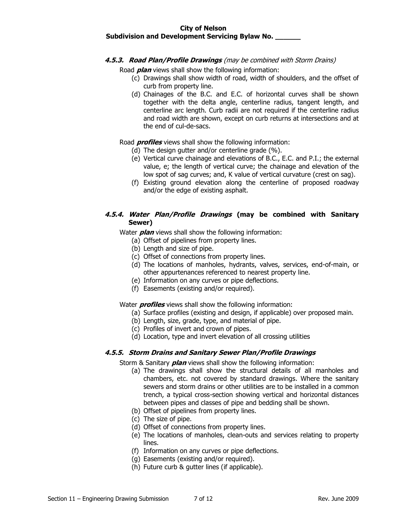### **4.5.3. Road Plan/Profile Drawings** (may be combined with Storm Drains)

Road **plan** views shall show the following information:

- (c) Drawings shall show width of road, width of shoulders, and the offset of curb from property line.
- (d) Chainages of the B.C. and E.C. of horizontal curves shall be shown together with the delta angle, centerline radius, tangent length, and centerline arc length. Curb radii are not required if the centerline radius and road width are shown, except on curb returns at intersections and at the end of cul-de-sacs.

Road **profiles** views shall show the following information:

- (d) The design gutter and/or centerline grade (%).
- (e) Vertical curve chainage and elevations of B.C., E.C. and P.I.; the external value, e; the length of vertical curve; the chainage and elevation of the low spot of sag curves; and, K value of vertical curvature (crest on sag).
- (f) Existing ground elevation along the centerline of proposed roadway and/or the edge of existing asphalt.

# **4.5.4. Water Plan/Profile Drawings (may be combined with Sanitary Sewer)**

Water **plan** views shall show the following information:

- (a) Offset of pipelines from property lines.
- (b) Length and size of pipe.
- (c) Offset of connections from property lines.
- (d) The locations of manholes, hydrants, valves, services, end-of-main, or other appurtenances referenced to nearest property line.
- (e) Information on any curves or pipe deflections.
- (f) Easements (existing and/or required).

Water **profiles** views shall show the following information:

- (a) Surface profiles (existing and design, if applicable) over proposed main.
- (b) Length, size, grade, type, and material of pipe.
- (c) Profiles of invert and crown of pipes.
- (d) Location, type and invert elevation of all crossing utilities

# **4.5.5. Storm Drains and Sanitary Sewer Plan/Profile Drawings**

Storm & Sanitary **plan** views shall show the following information:

- (a) The drawings shall show the structural details of all manholes and chambers, etc. not covered by standard drawings. Where the sanitary sewers and storm drains or other utilities are to be installed in a common trench, a typical cross-section showing vertical and horizontal distances between pipes and classes of pipe and bedding shall be shown.
- (b) Offset of pipelines from property lines.
- (c) The size of pipe.
- (d) Offset of connections from property lines.
- (e) The locations of manholes, clean-outs and services relating to property lines.
- (f) Information on any curves or pipe deflections.
- (g) Easements (existing and/or required).
- (h) Future curb & gutter lines (if applicable).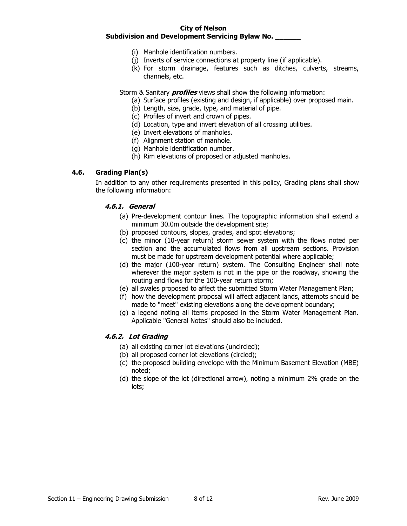- (i) Manhole identification numbers.
- (j) Inverts of service connections at property line (if applicable).
- (k) For storm drainage, features such as ditches, culverts, streams, channels, etc.

Storm & Sanitary **profiles** views shall show the following information:

- (a) Surface profiles (existing and design, if applicable) over proposed main.
- (b) Length, size, grade, type, and material of pipe.
- (c) Profiles of invert and crown of pipes.
- (d) Location, type and invert elevation of all crossing utilities.
- (e) Invert elevations of manholes.
- (f) Alignment station of manhole.
- (g) Manhole identification number.
- (h) Rim elevations of proposed or adjusted manholes.

## **4.6. Grading Plan(s)**

In addition to any other requirements presented in this policy, Grading plans shall show the following information:

# **4.6.1. General**

- (a) Pre-development contour lines. The topographic information shall extend a minimum 30.0m outside the development site;
- (b) proposed contours, slopes, grades, and spot elevations;
- (c) the minor (10-year return) storm sewer system with the flows noted per section and the accumulated flows from all upstream sections. Provision must be made for upstream development potential where applicable;
- (d) the major (100-year return) system. The Consulting Engineer shall note wherever the major system is not in the pipe or the roadway, showing the routing and flows for the 100-year return storm;
- (e) all swales proposed to affect the submitted Storm Water Management Plan;
- (f) how the development proposal will affect adjacent lands, attempts should be made to "meet" existing elevations along the development boundary;
- (g) a legend noting all items proposed in the Storm Water Management Plan. Applicable "General Notes" should also be included.

# **4.6.2. Lot Grading**

- (a) all existing corner lot elevations (uncircled);
- (b) all proposed corner lot elevations (circled);
- (c) the proposed building envelope with the Minimum Basement Elevation (MBE) noted;
- (d) the slope of the lot (directional arrow), noting a minimum 2% grade on the lots;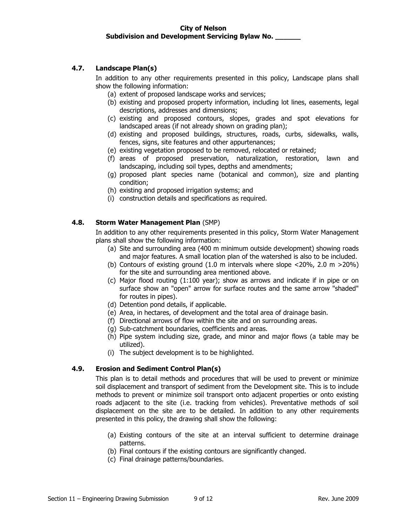# **4.7. Landscape Plan(s)**

In addition to any other requirements presented in this policy, Landscape plans shall show the following information:

- (a) extent of proposed landscape works and services;
- (b) existing and proposed property information, including lot lines, easements, legal descriptions, addresses and dimensions;
- (c) existing and proposed contours, slopes, grades and spot elevations for landscaped areas (if not already shown on grading plan);
- (d) existing and proposed buildings, structures, roads, curbs, sidewalks, walls, fences, signs, site features and other appurtenances;
- (e) existing vegetation proposed to be removed, relocated or retained;
- (f) areas of proposed preservation, naturalization, restoration, lawn and landscaping, including soil types, depths and amendments;
- (g) proposed plant species name (botanical and common), size and planting condition;
- (h) existing and proposed irrigation systems; and
- (i) construction details and specifications as required.

# **4.8. Storm Water Management Plan** (SMP)

In addition to any other requirements presented in this policy, Storm Water Management plans shall show the following information:

- (a) Site and surrounding area (400 m minimum outside development) showing roads and major features. A small location plan of the watershed is also to be included.
- (b) Contours of existing ground  $(1.0 \text{ m})$  intervals where slope  $\langle 20\% \rangle$ , 2.0 m  $>20\%$ ) for the site and surrounding area mentioned above.
- (c) Major flood routing (1:100 year); show as arrows and indicate if in pipe or on surface show an "open" arrow for surface routes and the same arrow "shaded" for routes in pipes).
- (d) Detention pond details, if applicable.
- (e) Area, in hectares, of development and the total area of drainage basin.
- (f) Directional arrows of flow within the site and on surrounding areas.
- (g) Sub-catchment boundaries, coefficients and areas.
- (h) Pipe system including size, grade, and minor and major flows (a table may be utilized).
- (i) The subject development is to be highlighted.

# **4.9. Erosion and Sediment Control Plan(s)**

This plan is to detail methods and procedures that will be used to prevent or minimize soil displacement and transport of sediment from the Development site. This is to include methods to prevent or minimize soil transport onto adjacent properties or onto existing roads adjacent to the site (i.e. tracking from vehicles). Preventative methods of soil displacement on the site are to be detailed. In addition to any other requirements presented in this policy, the drawing shall show the following:

- (a) Existing contours of the site at an interval sufficient to determine drainage patterns.
- (b) Final contours if the existing contours are significantly changed.
- (c) Final drainage patterns/boundaries.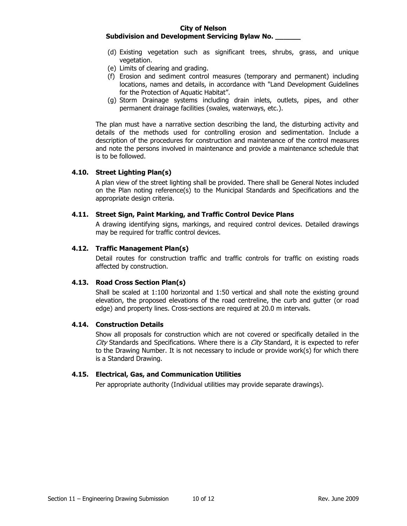#### **City of Nelson**

#### **Subdivision and Development Servicing Bylaw No. \_\_\_\_\_\_**

- (d) Existing vegetation such as significant trees, shrubs, grass, and unique vegetation.
- (e) Limits of clearing and grading.
- (f) Erosion and sediment control measures (temporary and permanent) including locations, names and details, in accordance with "Land Development Guidelines for the Protection of Aquatic Habitat".
- (g) Storm Drainage systems including drain inlets, outlets, pipes, and other permanent drainage facilities (swales, waterways, etc.).

The plan must have a narrative section describing the land, the disturbing activity and details of the methods used for controlling erosion and sedimentation. Include a description of the procedures for construction and maintenance of the control measures and note the persons involved in maintenance and provide a maintenance schedule that is to be followed.

## **4.10. Street Lighting Plan(s)**

A plan view of the street lighting shall be provided. There shall be General Notes included on the Plan noting reference(s) to the Municipal Standards and Specifications and the appropriate design criteria.

#### **4.11. Street Sign, Paint Marking, and Traffic Control Device Plans**

A drawing identifying signs, markings, and required control devices. Detailed drawings may be required for traffic control devices.

#### **4.12. Traffic Management Plan(s)**

Detail routes for construction traffic and traffic controls for traffic on existing roads affected by construction.

#### **4.13. Road Cross Section Plan(s)**

Shall be scaled at 1:100 horizontal and 1:50 vertical and shall note the existing ground elevation, the proposed elevations of the road centreline, the curb and gutter (or road edge) and property lines. Cross-sections are required at 20.0 m intervals.

#### **4.14. Construction Details**

Show all proposals for construction which are not covered or specifically detailed in the City Standards and Specifications. Where there is a City Standard, it is expected to refer to the Drawing Number. It is not necessary to include or provide work(s) for which there is a Standard Drawing.

#### **4.15. Electrical, Gas, and Communication Utilities**

Per appropriate authority (Individual utilities may provide separate drawings).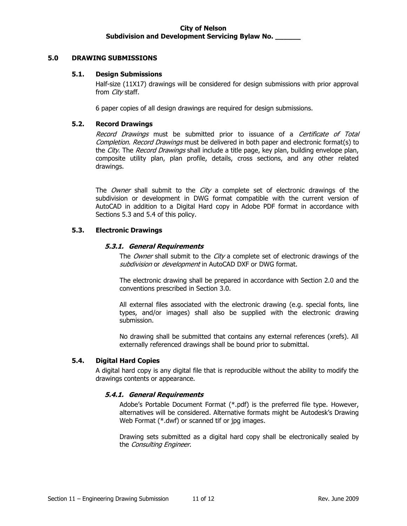## **5.0 DRAWING SUBMISSIONS**

#### **5.1. Design Submissions**

Half-size (11X17) drawings will be considered for design submissions with prior approval from *City* staff.

6 paper copies of all design drawings are required for design submissions.

# **5.2. Record Drawings**

Record Drawings must be submitted prior to issuance of a Certificate of Total Completion. Record Drawings must be delivered in both paper and electronic format(s) to the City. The Record Drawings shall include a title page, key plan, building envelope plan, composite utility plan, plan profile, details, cross sections, and any other related drawings.

The Owner shall submit to the City a complete set of electronic drawings of the subdivision or development in DWG format compatible with the current version of AutoCAD in addition to a Digital Hard copy in Adobe PDF format in accordance with Sections 5.3 and 5.4 of this policy.

## **5.3. Electronic Drawings**

#### **5.3.1. General Requirements**

The Owner shall submit to the City a complete set of electronic drawings of the subdivision or development in AutoCAD DXF or DWG format.

The electronic drawing shall be prepared in accordance with Section 2.0 and the conventions prescribed in Section 3.0.

All external files associated with the electronic drawing (e.g. special fonts, line types, and/or images) shall also be supplied with the electronic drawing submission.

No drawing shall be submitted that contains any external references (xrefs). All externally referenced drawings shall be bound prior to submittal.

# **5.4. Digital Hard Copies**

A digital hard copy is any digital file that is reproducible without the ability to modify the drawings contents or appearance.

# **5.4.1. General Requirements**

Adobe's Portable Document Format (\*.pdf) is the preferred file type. However, alternatives will be considered. Alternative formats might be Autodesk's Drawing Web Format (\*.dwf) or scanned tif or jpg images.

Drawing sets submitted as a digital hard copy shall be electronically sealed by the Consulting Engineer.